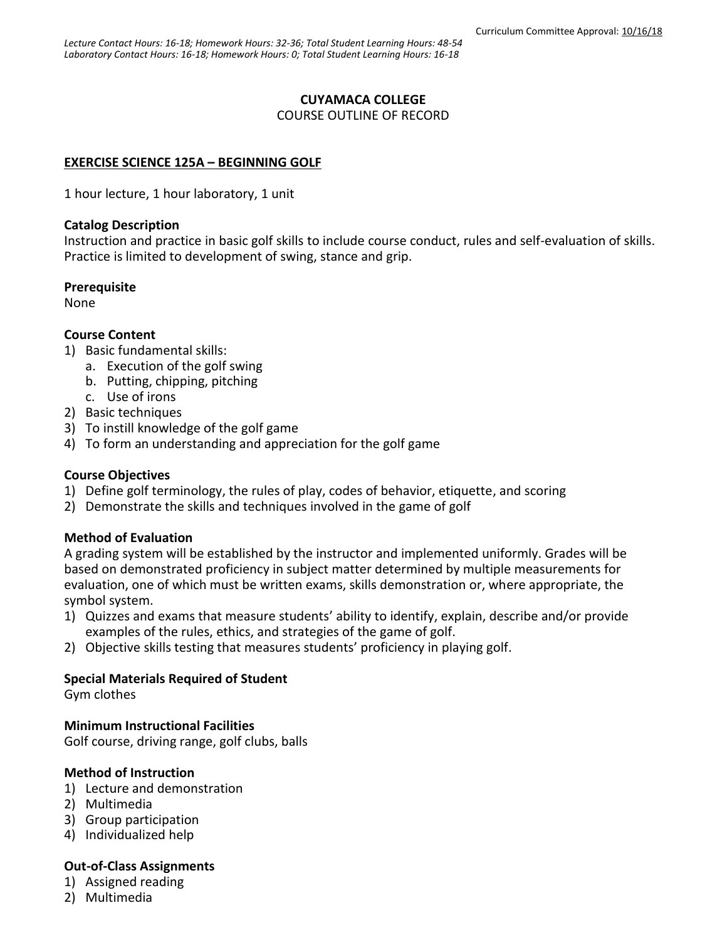## **CUYAMACA COLLEGE**

COURSE OUTLINE OF RECORD

# **EXERCISE SCIENCE 125A – BEGINNING GOLF**

1 hour lecture, 1 hour laboratory, 1 unit

#### **Catalog Description**

Instruction and practice in basic golf skills to include course conduct, rules and self-evaluation of skills. Practice is limited to development of swing, stance and grip.

#### **Prerequisite**

None

## **Course Content**

- 1) Basic fundamental skills:
	- a. Execution of the golf swing
	- b. Putting, chipping, pitching
	- c. Use of irons
- 2) Basic techniques
- 3) To instill knowledge of the golf game
- 4) To form an understanding and appreciation for the golf game

#### **Course Objectives**

- 1) Define golf terminology, the rules of play, codes of behavior, etiquette, and scoring
- 2) Demonstrate the skills and techniques involved in the game of golf

#### **Method of Evaluation**

A grading system will be established by the instructor and implemented uniformly. Grades will be based on demonstrated proficiency in subject matter determined by multiple measurements for evaluation, one of which must be written exams, skills demonstration or, where appropriate, the symbol system.

- 1) Quizzes and exams that measure students' ability to identify, explain, describe and/or provide examples of the rules, ethics, and strategies of the game of golf.
- 2) Objective skills testing that measures students' proficiency in playing golf.

#### **Special Materials Required of Student**

Gym clothes

#### **Minimum Instructional Facilities**

Golf course, driving range, golf clubs, balls

#### **Method of Instruction**

- 1) Lecture and demonstration
- 2) Multimedia
- 3) Group participation
- 4) Individualized help

# **Out-of-Class Assignments**

- 1) Assigned reading
- 2) Multimedia